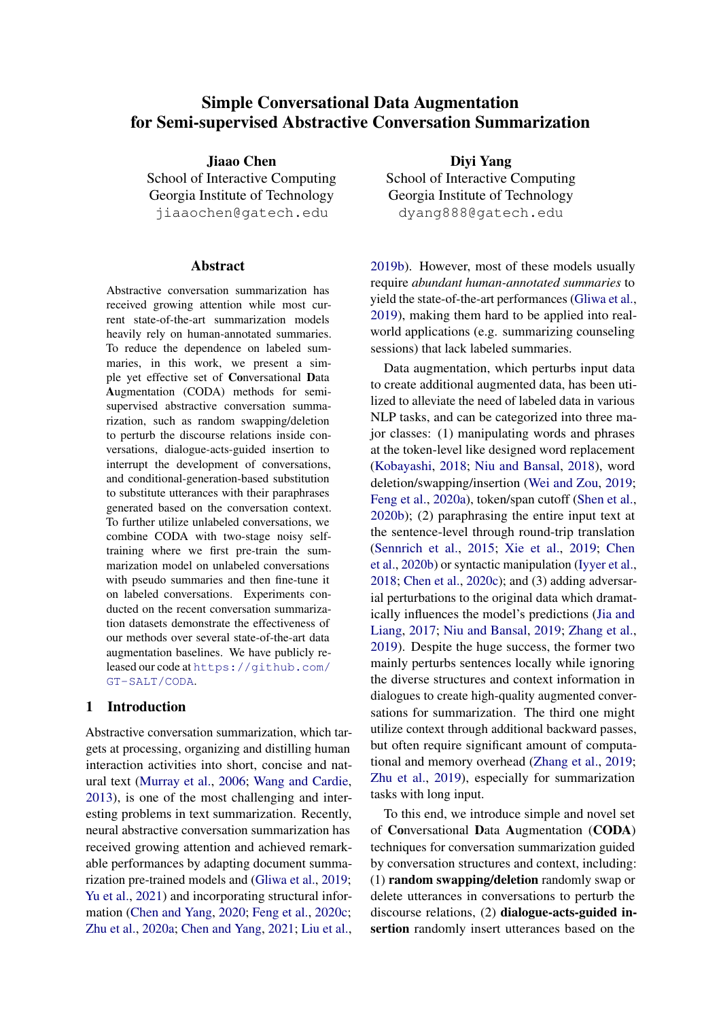# Simple Conversational Data Augmentation for Semi-supervised Abstractive Conversation Summarization

Jiaao Chen School of Interactive Computing Georgia Institute of Technology jiaaochen@gatech.edu

#### **Abstract**

Abstractive conversation summarization has received growing attention while most current state-of-the-art summarization models heavily rely on human-annotated summaries. To reduce the dependence on labeled summaries, in this work, we present a simple yet effective set of Conversational Data Augmentation (CODA) methods for semisupervised abstractive conversation summarization, such as random swapping/deletion to perturb the discourse relations inside conversations, dialogue-acts-guided insertion to interrupt the development of conversations, and conditional-generation-based substitution to substitute utterances with their paraphrases generated based on the conversation context. To further utilize unlabeled conversations, we combine CODA with two-stage noisy selftraining where we first pre-train the summarization model on unlabeled conversations with pseudo summaries and then fine-tune it on labeled conversations. Experiments conducted on the recent conversation summarization datasets demonstrate the effectiveness of our methods over several state-of-the-art data augmentation baselines. We have publicly released our code at [https://github.com/](https://github.com/GT-SALT/CODA) [GT-SALT/CODA](https://github.com/GT-SALT/CODA).

# 1 Introduction

Abstractive conversation summarization, which targets at processing, organizing and distilling human interaction activities into short, concise and natural text [\(Murray et al.,](#page-10-0) [2006;](#page-10-0) [Wang and Cardie,](#page-10-1) [2013\)](#page-10-1), is one of the most challenging and interesting problems in text summarization. Recently, neural abstractive conversation summarization has received growing attention and achieved remarkable performances by adapting document summarization pre-trained models and [\(Gliwa et al.,](#page-8-0) [2019;](#page-8-0) [Yu et al.,](#page-10-2) [2021\)](#page-10-2) and incorporating structural information [\(Chen and Yang,](#page-8-1) [2020;](#page-8-1) [Feng et al.,](#page-8-2) [2020c;](#page-8-2) [Zhu et al.,](#page-11-0) [2020a;](#page-11-0) [Chen and Yang,](#page-8-3) [2021;](#page-8-3) [Liu et al.,](#page-9-0)

Diyi Yang School of Interactive Computing Georgia Institute of Technology dyang888@gatech.edu

[2019b\)](#page-9-0). However, most of these models usually require *abundant human-annotated summaries* to yield the state-of-the-art performances [\(Gliwa et al.,](#page-8-0) [2019\)](#page-8-0), making them hard to be applied into realworld applications (e.g. summarizing counseling sessions) that lack labeled summaries.

Data augmentation, which perturbs input data to create additional augmented data, has been utilized to alleviate the need of labeled data in various NLP tasks, and can be categorized into three major classes: (1) manipulating words and phrases at the token-level like designed word replacement [\(Kobayashi,](#page-9-1) [2018;](#page-9-1) [Niu and Bansal,](#page-10-3) [2018\)](#page-10-3), word deletion/swapping/insertion [\(Wei and Zou,](#page-10-4) [2019;](#page-10-4) [Feng et al.,](#page-8-4) [2020a\)](#page-8-4), token/span cutoff [\(Shen et al.,](#page-10-5) [2020b\)](#page-10-5); (2) paraphrasing the entire input text at the sentence-level through round-trip translation [\(Sennrich et al.,](#page-10-6) [2015;](#page-10-6) [Xie et al.,](#page-10-7) [2019;](#page-10-7) [Chen](#page-8-5) [et al.,](#page-8-5) [2020b\)](#page-8-5) or syntactic manipulation [\(Iyyer et al.,](#page-9-2) [2018;](#page-9-2) [Chen et al.,](#page-8-6) [2020c\)](#page-8-6); and (3) adding adversarial perturbations to the original data which dramatically influences the model's predictions [\(Jia and](#page-9-3) [Liang,](#page-9-3) [2017;](#page-9-3) [Niu and Bansal,](#page-10-8) [2019;](#page-10-8) [Zhang et al.,](#page-10-9) [2019\)](#page-10-9). Despite the huge success, the former two mainly perturbs sentences locally while ignoring the diverse structures and context information in dialogues to create high-quality augmented conversations for summarization. The third one might utilize context through additional backward passes, but often require significant amount of computational and memory overhead [\(Zhang et al.,](#page-10-9) [2019;](#page-10-9) [Zhu et al.,](#page-11-1) [2019\)](#page-11-1), especially for summarization tasks with long input.

To this end, we introduce simple and novel set of Conversational Data Augmentation (CODA) techniques for conversation summarization guided by conversation structures and context, including: (1) random swapping/deletion randomly swap or delete utterances in conversations to perturb the discourse relations, (2) dialogue-acts-guided insertion randomly insert utterances based on the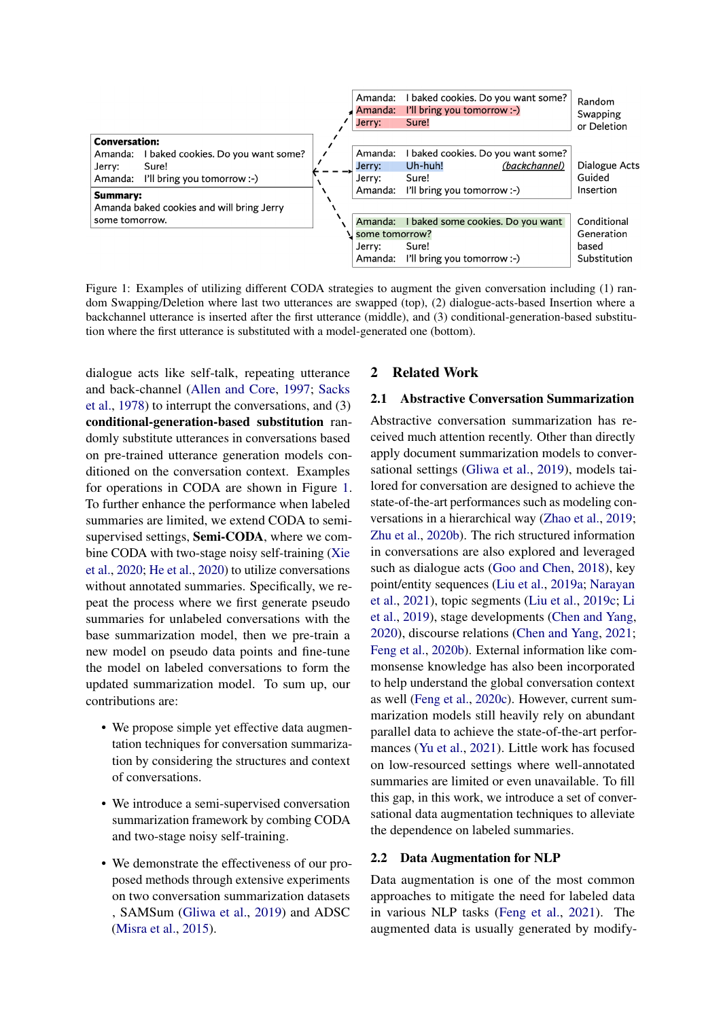<span id="page-1-0"></span>

Figure 1: Examples of utilizing different CODA strategies to augment the given conversation including (1) random Swapping/Deletion where last two utterances are swapped (top), (2) dialogue-acts-based Insertion where a backchannel utterance is inserted after the first utterance (middle), and (3) conditional-generation-based substitution where the first utterance is substituted with a model-generated one (bottom).

dialogue acts like self-talk, repeating utterance and back-channel [\(Allen and Core,](#page-8-7) [1997;](#page-8-7) [Sacks](#page-10-10) [et al.,](#page-10-10) [1978\)](#page-10-10) to interrupt the conversations, and (3) conditional-generation-based substitution randomly substitute utterances in conversations based on pre-trained utterance generation models conditioned on the conversation context. Examples for operations in CODA are shown in Figure [1.](#page-1-0) To further enhance the performance when labeled summaries are limited, we extend CODA to semisupervised settings, Semi-CODA, where we combine CODA with two-stage noisy self-training [\(Xie](#page-10-11) [et al.,](#page-10-11) [2020;](#page-10-11) [He et al.,](#page-9-4) [2020\)](#page-9-4) to utilize conversations without annotated summaries. Specifically, we repeat the process where we first generate pseudo summaries for unlabeled conversations with the base summarization model, then we pre-train a new model on pseudo data points and fine-tune the model on labeled conversations to form the updated summarization model. To sum up, our contributions are:

- We propose simple yet effective data augmentation techniques for conversation summarization by considering the structures and context of conversations.
- We introduce a semi-supervised conversation summarization framework by combing CODA and two-stage noisy self-training.
- We demonstrate the effectiveness of our proposed methods through extensive experiments on two conversation summarization datasets , SAMSum [\(Gliwa et al.,](#page-8-0) [2019\)](#page-8-0) and ADSC [\(Misra et al.,](#page-9-5) [2015\)](#page-9-5).

# 2 Related Work

## 2.1 Abstractive Conversation Summarization

Abstractive conversation summarization has received much attention recently. Other than directly apply document summarization models to conversational settings [\(Gliwa et al.,](#page-8-0) [2019\)](#page-8-0), models tailored for conversation are designed to achieve the state-of-the-art performances such as modeling conversations in a hierarchical way [\(Zhao et al.,](#page-11-2) [2019;](#page-11-2) [Zhu et al.,](#page-11-3) [2020b\)](#page-11-3). The rich structured information in conversations are also explored and leveraged such as dialogue acts [\(Goo and Chen,](#page-9-6) [2018\)](#page-9-6), key point/entity sequences [\(Liu et al.,](#page-9-7) [2019a;](#page-9-7) [Narayan](#page-10-12) [et al.,](#page-10-12) [2021\)](#page-10-12), topic segments [\(Liu et al.,](#page-9-8) [2019c;](#page-9-8) [Li](#page-9-9) [et al.,](#page-9-9) [2019\)](#page-9-9), stage developments [\(Chen and Yang,](#page-8-1) [2020\)](#page-8-1), discourse relations [\(Chen and Yang,](#page-8-3) [2021;](#page-8-3) [Feng et al.,](#page-8-8) [2020b\)](#page-8-8). External information like commonsense knowledge has also been incorporated to help understand the global conversation context as well [\(Feng et al.,](#page-8-2) [2020c\)](#page-8-2). However, current summarization models still heavily rely on abundant parallel data to achieve the state-of-the-art performances [\(Yu et al.,](#page-10-2) [2021\)](#page-10-2). Little work has focused on low-resourced settings where well-annotated summaries are limited or even unavailable. To fill this gap, in this work, we introduce a set of conversational data augmentation techniques to alleviate the dependence on labeled summaries.

# 2.2 Data Augmentation for NLP

Data augmentation is one of the most common approaches to mitigate the need for labeled data in various NLP tasks [\(Feng et al.,](#page-8-9) [2021\)](#page-8-9). The augmented data is usually generated by modify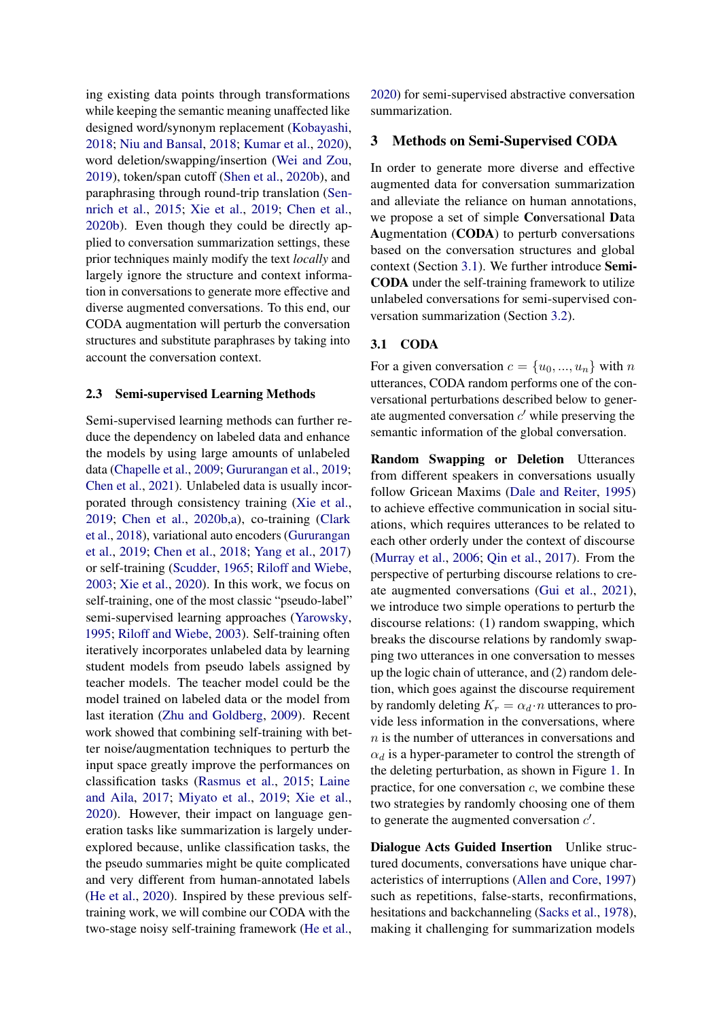ing existing data points through transformations while keeping the semantic meaning unaffected like designed word/synonym replacement [\(Kobayashi,](#page-9-1) [2018;](#page-9-1) [Niu and Bansal,](#page-10-3) [2018;](#page-10-3) [Kumar et al.,](#page-9-10) [2020\)](#page-9-10), word deletion/swapping/insertion [\(Wei and Zou,](#page-10-4) [2019\)](#page-10-4), token/span cutoff [\(Shen et al.,](#page-10-5) [2020b\)](#page-10-5), and paraphrasing through round-trip translation [\(Sen](#page-10-6)[nrich et al.,](#page-10-6) [2015;](#page-10-6) [Xie et al.,](#page-10-7) [2019;](#page-10-7) [Chen et al.,](#page-8-5) [2020b\)](#page-8-5). Even though they could be directly applied to conversation summarization settings, these prior techniques mainly modify the text *locally* and largely ignore the structure and context information in conversations to generate more effective and diverse augmented conversations. To this end, our CODA augmentation will perturb the conversation structures and substitute paraphrases by taking into account the conversation context.

#### 2.3 Semi-supervised Learning Methods

Semi-supervised learning methods can further reduce the dependency on labeled data and enhance the models by using large amounts of unlabeled data [\(Chapelle et al.,](#page-8-10) [2009;](#page-8-10) [Gururangan et al.,](#page-9-11) [2019;](#page-9-11) [Chen et al.,](#page-8-11) [2021\)](#page-8-11). Unlabeled data is usually incorporated through consistency training [\(Xie et al.,](#page-10-7) [2019;](#page-10-7) [Chen et al.,](#page-8-5) [2020b,](#page-8-5)[a\)](#page-8-12), co-training [\(Clark](#page-8-13) [et al.,](#page-8-13) [2018\)](#page-8-13), variational auto encoders [\(Gururangan](#page-9-11) [et al.,](#page-9-11) [2019;](#page-9-11) [Chen et al.,](#page-8-14) [2018;](#page-8-14) [Yang et al.,](#page-10-13) [2017\)](#page-10-13) or self-training [\(Scudder,](#page-10-14) [1965;](#page-10-14) [Riloff and Wiebe,](#page-10-15) [2003;](#page-10-15) [Xie et al.,](#page-10-11) [2020\)](#page-10-11). In this work, we focus on self-training, one of the most classic "pseudo-label" semi-supervised learning approaches [\(Yarowsky,](#page-10-16) [1995;](#page-10-16) [Riloff and Wiebe,](#page-10-15) [2003\)](#page-10-15). Self-training often iteratively incorporates unlabeled data by learning student models from pseudo labels assigned by teacher models. The teacher model could be the model trained on labeled data or the model from last iteration [\(Zhu and Goldberg,](#page-11-4) [2009\)](#page-11-4). Recent work showed that combining self-training with better noise/augmentation techniques to perturb the input space greatly improve the performances on classification tasks [\(Rasmus et al.,](#page-10-17) [2015;](#page-10-17) [Laine](#page-9-12) [and Aila,](#page-9-12) [2017;](#page-9-12) [Miyato et al.,](#page-9-13) [2019;](#page-9-13) [Xie et al.,](#page-10-11) [2020\)](#page-10-11). However, their impact on language generation tasks like summarization is largely underexplored because, unlike classification tasks, the the pseudo summaries might be quite complicated and very different from human-annotated labels [\(He et al.,](#page-9-4) [2020\)](#page-9-4). Inspired by these previous selftraining work, we will combine our CODA with the two-stage noisy self-training framework [\(He et al.,](#page-9-4) [2020\)](#page-9-4) for semi-supervised abstractive conversation summarization.

## 3 Methods on Semi-Supervised CODA

In order to generate more diverse and effective augmented data for conversation summarization and alleviate the reliance on human annotations, we propose a set of simple Conversational Data Augmentation (CODA) to perturb conversations based on the conversation structures and global context (Section [3.1\)](#page-2-0). We further introduce Semi-CODA under the self-training framework to utilize unlabeled conversations for semi-supervised conversation summarization (Section [3.2\)](#page-4-0).

# <span id="page-2-0"></span>3.1 CODA

For a given conversation  $c = \{u_0, ..., u_n\}$  with n utterances, CODA random performs one of the conversational perturbations described below to generate augmented conversation  $c'$  while preserving the semantic information of the global conversation.

Random Swapping or Deletion Utterances from different speakers in conversations usually follow Gricean Maxims [\(Dale and Reiter,](#page-8-15) [1995\)](#page-8-15) to achieve effective communication in social situations, which requires utterances to be related to each other orderly under the context of discourse [\(Murray et al.,](#page-10-0) [2006;](#page-10-0) [Qin et al.,](#page-10-18) [2017\)](#page-10-18). From the perspective of perturbing discourse relations to create augmented conversations [\(Gui et al.,](#page-9-14) [2021\)](#page-9-14), we introduce two simple operations to perturb the discourse relations: (1) random swapping, which breaks the discourse relations by randomly swapping two utterances in one conversation to messes up the logic chain of utterance, and (2) random deletion, which goes against the discourse requirement by randomly deleting  $K_r = \alpha_d \cdot n$  utterances to provide less information in the conversations, where n is the number of utterances in conversations and  $\alpha_d$  is a hyper-parameter to control the strength of the deleting perturbation, as shown in Figure [1.](#page-1-0) In practice, for one conversation  $c$ , we combine these two strategies by randomly choosing one of them to generate the augmented conversation  $c'$ .

Dialogue Acts Guided Insertion Unlike structured documents, conversations have unique characteristics of interruptions [\(Allen and Core,](#page-8-7) [1997\)](#page-8-7) such as repetitions, false-starts, reconfirmations, hesitations and backchanneling [\(Sacks et al.,](#page-10-10) [1978\)](#page-10-10), making it challenging for summarization models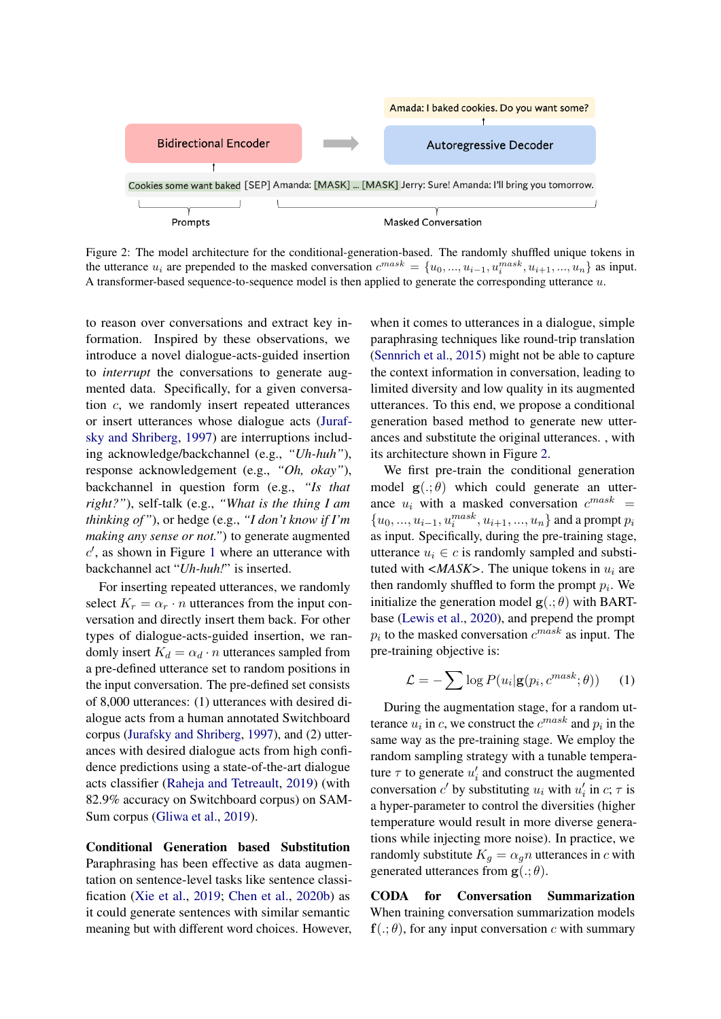<span id="page-3-0"></span>

Figure 2: The model architecture for the conditional-generation-based. The randomly shuffled unique tokens in the utterance  $u_i$  are prepended to the masked conversation  $c^{mask} = \{u_0, ..., u_{i-1}, u_i^{mask}, u_{i+1}, ..., u_n\}$  as input. A transformer-based sequence-to-sequence model is then applied to generate the corresponding utterance  $u$ .

to reason over conversations and extract key information. Inspired by these observations, we introduce a novel dialogue-acts-guided insertion to *interrupt* the conversations to generate augmented data. Specifically, for a given conversation c, we randomly insert repeated utterances or insert utterances whose dialogue acts [\(Juraf](#page-9-15)[sky and Shriberg,](#page-9-15) [1997\)](#page-9-15) are interruptions including acknowledge/backchannel (e.g., *"Uh-huh"*), response acknowledgement (e.g., *"Oh, okay"*), backchannel in question form (e.g., *"Is that right?"*), self-talk (e.g., *"What is the thing I am thinking of"*), or hedge (e.g., *"I don't know if I'm making any sense or not."*) to generate augmented  $c'$ , as shown in Figure [1](#page-1-0) where an utterance with backchannel act "*Uh-huh!*" is inserted.

For inserting repeated utterances, we randomly select  $K_r = \alpha_r \cdot n$  utterances from the input conversation and directly insert them back. For other types of dialogue-acts-guided insertion, we randomly insert  $K_d = \alpha_d \cdot n$  utterances sampled from a pre-defined utterance set to random positions in the input conversation. The pre-defined set consists of 8,000 utterances: (1) utterances with desired dialogue acts from a human annotated Switchboard corpus [\(Jurafsky and Shriberg,](#page-9-15) [1997\)](#page-9-15), and (2) utterances with desired dialogue acts from high confidence predictions using a state-of-the-art dialogue acts classifier [\(Raheja and Tetreault,](#page-10-19) [2019\)](#page-10-19) (with 82.9% accuracy on Switchboard corpus) on SAM-Sum corpus [\(Gliwa et al.,](#page-8-0) [2019\)](#page-8-0).

Conditional Generation based Substitution Paraphrasing has been effective as data augmentation on sentence-level tasks like sentence classification [\(Xie et al.,](#page-10-7) [2019;](#page-10-7) [Chen et al.,](#page-8-5) [2020b\)](#page-8-5) as it could generate sentences with similar semantic meaning but with different word choices. However, when it comes to utterances in a dialogue, simple paraphrasing techniques like round-trip translation [\(Sennrich et al.,](#page-10-6) [2015\)](#page-10-6) might not be able to capture the context information in conversation, leading to limited diversity and low quality in its augmented utterances. To this end, we propose a conditional generation based method to generate new utterances and substitute the original utterances. , with its architecture shown in Figure [2.](#page-3-0)

We first pre-train the conditional generation model  $\mathbf{g}(.;\theta)$  which could generate an utterance  $u_i$  with a masked conversation  $c^{mask}$  =  $\{u_0, ..., u_{i-1}, u_i^{mask}, u_{i+1}, ..., u_n\}$  and a prompt  $p_i$ as input. Specifically, during the pre-training stage, utterance  $u_i \in c$  is randomly sampled and substituted with  $\langle MASK \rangle$ . The unique tokens in  $u_i$  are then randomly shuffled to form the prompt  $p_i$ . We initialize the generation model  $\mathbf{g}(.;\theta)$  with BARTbase [\(Lewis et al.,](#page-9-16) [2020\)](#page-9-16), and prepend the prompt  $p_i$  to the masked conversation  $c^{mask}$  as input. The pre-training objective is:

$$
\mathcal{L} = -\sum \log P(u_i | \mathbf{g}(p_i, c^{mask}; \theta)) \quad (1)
$$

During the augmentation stage, for a random utterance  $u_i$  in c, we construct the  $c^{mask}$  and  $p_i$  in the same way as the pre-training stage. We employ the random sampling strategy with a tunable temperature  $\tau$  to generate  $u'_i$  and construct the augmented conversation  $c'$  by substituting  $u_i$  with  $u'_i$  in  $c; \tau$  is a hyper-parameter to control the diversities (higher temperature would result in more diverse generations while injecting more noise). In practice, we randomly substitute  $K_g = \alpha_g n$  utterances in c with generated utterances from  $\mathbf{g}(.;\theta)$ .

CODA for Conversation Summarization When training conversation summarization models  $f(.;\theta)$ , for any input conversation c with summary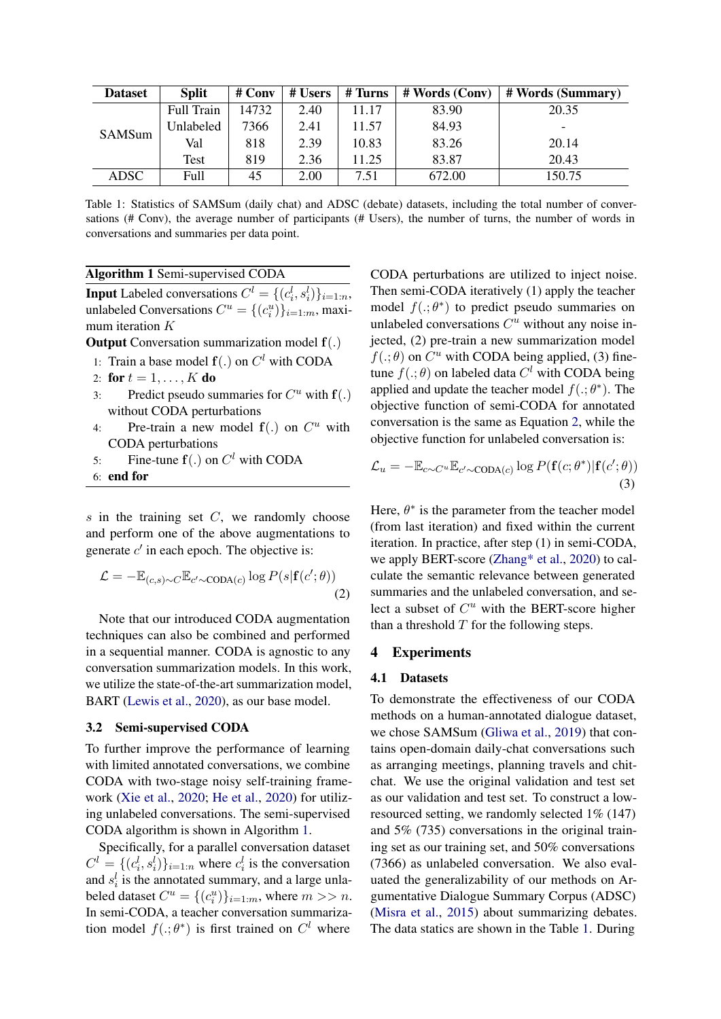<span id="page-4-3"></span>

| <b>Dataset</b> | <b>Split</b> | # Conv | # Users | # Turns | # Words (Conv) | # Words (Summary) |
|----------------|--------------|--------|---------|---------|----------------|-------------------|
| SAMSum         | Full Train   | 14732  | 2.40    | 11.17   | 83.90          | 20.35             |
|                | Unlabeled    | 7366   | 2.41    | 11.57   | 84.93          | -                 |
|                | Val          | 818    | 2.39    | 10.83   | 83.26          | 20.14             |
|                | Test         | 819    | 2.36    | 11.25   | 83.87          | 20.43             |
| ADSC           | Full         | 45     | 2.00    | 7.51    | 672.00         | 150.75            |

Table 1: Statistics of SAMSum (daily chat) and ADSC (debate) datasets, including the total number of conversations (# Conv), the average number of participants (# Users), the number of turns, the number of words in conversations and summaries per data point.

<span id="page-4-1"></span>Algorithm 1 Semi-supervised CODA

**Input** Labeled conversations  $C^l = \{(c_i^l, s_i^l)\}_{i=1:n}$ , unlabeled Conversations  $C^u = \{(c_i^u)\}_{i=1:m}$ , maximum iteration K

**Output** Conversation summarization model  $f(.)$ 

- 1: Train a base model  $f(.)$  on  $C<sup>l</sup>$  with CODA
- 2: for  $t = 1, ..., K$  do
- 3: Predict pseudo summaries for  $C^u$  with  $f(.)$ without CODA perturbations
- 4: Pre-train a new model  $f(.)$  on  $C^u$  with CODA perturbations
- 5: Fine-tune  $f(.)$  on  $C^l$  with CODA
- 6: end for

 $s$  in the training set  $C$ , we randomly choose and perform one of the above augmentations to generate  $c'$  in each epoch. The objective is:

$$
\mathcal{L} = -\mathbb{E}_{(c,s)\sim C} \mathbb{E}_{c'\sim\text{CDA}(c)} \log P(s|\mathbf{f}(c';\theta))
$$
\n(2)

Note that our introduced CODA augmentation techniques can also be combined and performed in a sequential manner. CODA is agnostic to any conversation summarization models. In this work, we utilize the state-of-the-art summarization model, BART [\(Lewis et al.,](#page-9-16) [2020\)](#page-9-16), as our base model.

#### <span id="page-4-0"></span>3.2 Semi-supervised CODA

To further improve the performance of learning with limited annotated conversations, we combine CODA with two-stage noisy self-training framework [\(Xie et al.,](#page-10-11) [2020;](#page-10-11) [He et al.,](#page-9-4) [2020\)](#page-9-4) for utilizing unlabeled conversations. The semi-supervised CODA algorithm is shown in Algorithm [1.](#page-4-1)

Specifically, for a parallel conversation dataset  $C^l = \{(c_i^l, s_i^l)\}_{i=1:n}$  where  $c_i^l$  is the conversation and  $s_i^l$  is the annotated summary, and a large unlabeled dataset  $C^u = \{(c_i^u)\}_{i=1:m}$ , where  $m >> n$ . In semi-CODA, a teacher conversation summarization model  $f(.;\theta^*)$  is first trained on  $C^l$  where

CODA perturbations are utilized to inject noise. Then semi-CODA iteratively (1) apply the teacher model  $f(.;\theta^*)$  to predict pseudo summaries on unlabeled conversations  $C<sup>u</sup>$  without any noise injected, (2) pre-train a new summarization model  $f(.;\theta)$  on  $C^u$  with CODA being applied, (3) finetune  $f(.;\theta)$  on labeled data  $C^l$  with CODA being applied and update the teacher model  $f(.; \theta^*)$ . The objective function of semi-CODA for annotated conversation is the same as Equation [2,](#page-4-2) while the objective function for unlabeled conversation is:

$$
\mathcal{L}_u = -\mathbb{E}_{c \sim C^u} \mathbb{E}_{c' \sim \text{CDA}(c)} \log P(\mathbf{f}(c; \theta^*) | \mathbf{f}(c'; \theta))
$$
\n(3)

Here,  $\theta^*$  is the parameter from the teacher model (from last iteration) and fixed within the current iteration. In practice, after step (1) in semi-CODA, we apply BERT-score [\(Zhang\\* et al.,](#page-10-20) [2020\)](#page-10-20) to calculate the semantic relevance between generated summaries and the unlabeled conversation, and select a subset of  $C<sup>u</sup>$  with the BERT-score higher than a threshold  $T$  for the following steps.

#### <span id="page-4-2"></span>4 Experiments

#### 4.1 Datasets

To demonstrate the effectiveness of our CODA methods on a human-annotated dialogue dataset, we chose SAMSum [\(Gliwa et al.,](#page-8-0) [2019\)](#page-8-0) that contains open-domain daily-chat conversations such as arranging meetings, planning travels and chitchat. We use the original validation and test set as our validation and test set. To construct a lowresourced setting, we randomly selected 1% (147) and 5% (735) conversations in the original training set as our training set, and 50% conversations (7366) as unlabeled conversation. We also evaluated the generalizability of our methods on Argumentative Dialogue Summary Corpus (ADSC) [\(Misra et al.,](#page-9-5) [2015\)](#page-9-5) about summarizing debates. The data statics are shown in the Table [1.](#page-4-3) During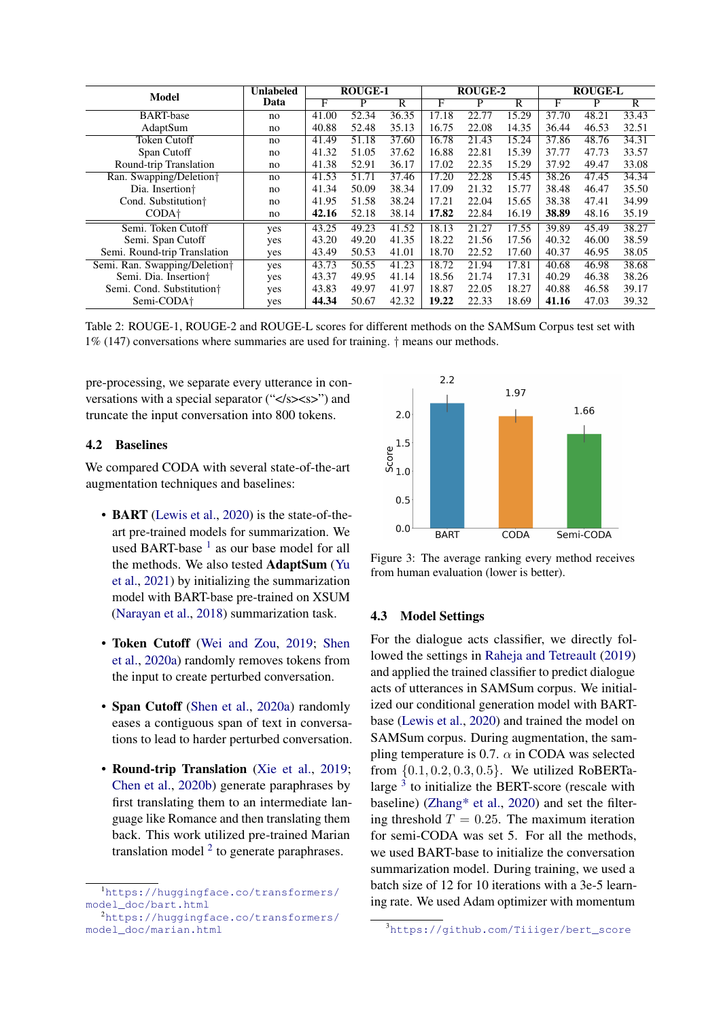<span id="page-5-3"></span>

| <b>Model</b>                              | <b>Unlabeled</b> | <b>ROUGE-1</b>     |       |                       | <b>ROUGE-2</b> |       |       | <b>ROUGE-L</b> |       |                       |
|-------------------------------------------|------------------|--------------------|-------|-----------------------|----------------|-------|-------|----------------|-------|-----------------------|
|                                           | Data             | F                  | P     | $\overline{\text{R}}$ | F              | P     | R     | F              | P     | $\overline{\text{R}}$ |
| <b>BART-base</b>                          | no               | 41.00              | 52.34 | 36.35                 | 17.18          | 22.77 | 15.29 | 37.70          | 48.21 | 33.43                 |
| AdaptSum                                  | no               | 40.88              | 52.48 | 35.13                 | 16.75          | 22.08 | 14.35 | 36.44          | 46.53 | 32.51                 |
| <b>Token Cutoff</b>                       | no               | $41.\overline{49}$ | 51.18 | 37.60                 | 16.78          | 21.43 | 15.24 | 37.86          | 48.76 | 34.31                 |
| Span Cutoff                               | no               | 41.32              | 51.05 | 37.62                 | 16.88          | 22.81 | 15.39 | 37.77          | 47.73 | 33.57                 |
| Round-trip Translation                    | no               | 41.38              | 52.91 | 36.17                 | 17.02          | 22.35 | 15.29 | 37.92          | 49.47 | 33.08                 |
| Ran. Swapping/Deletion†                   | no               | 41.53              | 51.71 | 37.46                 | 17.20          | 22.28 | 15.45 | 38.26          | 47.45 | 34.34                 |
| Dia. Insertion <sup>+</sup>               | no               | 41.34              | 50.09 | 38.34                 | 17.09          | 21.32 | 15.77 | 38.48          | 46.47 | 35.50                 |
| Cond. Substitution <sup>+</sup>           | no               | 41.95              | 51.58 | 38.24                 | 17.21          | 22.04 | 15.65 | 38.38          | 47.41 | 34.99                 |
| CODA <sup>+</sup>                         | no               | 42.16              | 52.18 | 38.14                 | 17.82          | 22.84 | 16.19 | 38.89          | 48.16 | 35.19                 |
| Semi. Token Cutoff                        | yes              | 43.25              | 49.23 | 41.52                 | 18.13          | 21.27 | 17.55 | 39.89          | 45.49 | 38.27                 |
| Semi. Span Cutoff                         | yes              | 43.20              | 49.20 | 41.35                 | 18.22          | 21.56 | 17.56 | 40.32          | 46.00 | 38.59                 |
| Semi. Round-trip Translation              | yes              | 43.49              | 50.53 | 41.01                 | 18.70          | 22.52 | 17.60 | 40.37          | 46.95 | 38.05                 |
| Semi. Ran. Swapping/Deletion <sup>†</sup> | yes              | 43.73              | 50.55 | 41.23                 | 18.72          | 21.94 | 17.81 | 40.68          | 46.98 | 38.68                 |
| Semi. Dia. Insertion <sup>+</sup>         | yes              | 43.37              | 49.95 | 41.14                 | 18.56          | 21.74 | 17.31 | 40.29          | 46.38 | 38.26                 |
| Semi. Cond. Substitution <sup>†</sup>     | yes              | 43.83              | 49.97 | 41.97                 | 18.87          | 22.05 | 18.27 | 40.88          | 46.58 | 39.17                 |
| Semi-CODA <sup>+</sup>                    | yes              | 44.34              | 50.67 | 42.32                 | 19.22          | 22.33 | 18.69 | 41.16          | 47.03 | 39.32                 |

Table 2: ROUGE-1, ROUGE-2 and ROUGE-L scores for different methods on the SAMSum Corpus test set with 1% (147) conversations where summaries are used for training. † means our methods.

pre-processing, we separate every utterance in conversations with a special separator ("</s>>>>>") and truncate the input conversation into 800 tokens.

# 4.2 Baselines

We compared CODA with several state-of-the-art augmentation techniques and baselines:

- **BART** [\(Lewis et al.,](#page-9-16) [2020\)](#page-9-16) is the state-of-theart pre-trained models for summarization. We used BART-base  $<sup>1</sup>$  $<sup>1</sup>$  $<sup>1</sup>$  as our base model for all</sup> the methods. We also tested AdaptSum [\(Yu](#page-10-2) [et al.,](#page-10-2) [2021\)](#page-10-2) by initializing the summarization model with BART-base pre-trained on XSUM [\(Narayan et al.,](#page-10-21) [2018\)](#page-10-21) summarization task.
- Token Cutoff [\(Wei and Zou,](#page-10-4) [2019;](#page-10-4) [Shen](#page-10-22) [et al.,](#page-10-22) [2020a\)](#page-10-22) randomly removes tokens from the input to create perturbed conversation.
- Span Cutoff [\(Shen et al.,](#page-10-22) [2020a\)](#page-10-22) randomly eases a contiguous span of text in conversations to lead to harder perturbed conversation.
- Round-trip Translation [\(Xie et al.,](#page-10-7) [2019;](#page-10-7) [Chen et al.,](#page-8-5) [2020b\)](#page-8-5) generate paraphrases by first translating them to an intermediate language like Romance and then translating them back. This work utilized pre-trained Marian translation model  $2$  to generate paraphrases.

<span id="page-5-4"></span>

Figure 3: The average ranking every method receives from human evaluation (lower is better).

## 4.3 Model Settings

For the dialogue acts classifier, we directly followed the settings in [Raheja and Tetreault](#page-10-19) [\(2019\)](#page-10-19) and applied the trained classifier to predict dialogue acts of utterances in SAMSum corpus. We initialized our conditional generation model with BARTbase [\(Lewis et al.,](#page-9-16) [2020\)](#page-9-16) and trained the model on SAMSum corpus. During augmentation, the sampling temperature is 0.7.  $\alpha$  in CODA was selected from {0.1, 0.2, 0.3, 0.5}. We utilized RoBERTalarge  $3$  to initialize the BERT-score (rescale with baseline) [\(Zhang\\* et al.,](#page-10-20) [2020\)](#page-10-20) and set the filtering threshold  $T = 0.25$ . The maximum iteration for semi-CODA was set 5. For all the methods, we used BART-base to initialize the conversation summarization model. During training, we used a batch size of 12 for 10 iterations with a 3e-5 learning rate. We used Adam optimizer with momentum

<span id="page-5-0"></span><sup>1</sup>[https://huggingface.co/transformers/](https://huggingface.co/transformers/model_doc/bart.html) [model\\_doc/bart.html](https://huggingface.co/transformers/model_doc/bart.html)

<span id="page-5-1"></span><sup>2</sup>[https://huggingface.co/transformers/](https://huggingface.co/transformers/model_doc/marian.html) [model\\_doc/marian.html](https://huggingface.co/transformers/model_doc/marian.html)

<span id="page-5-2"></span><sup>3</sup>[https://github.com/Tiiiger/bert\\_score](https://github.com/Tiiiger/bert_score)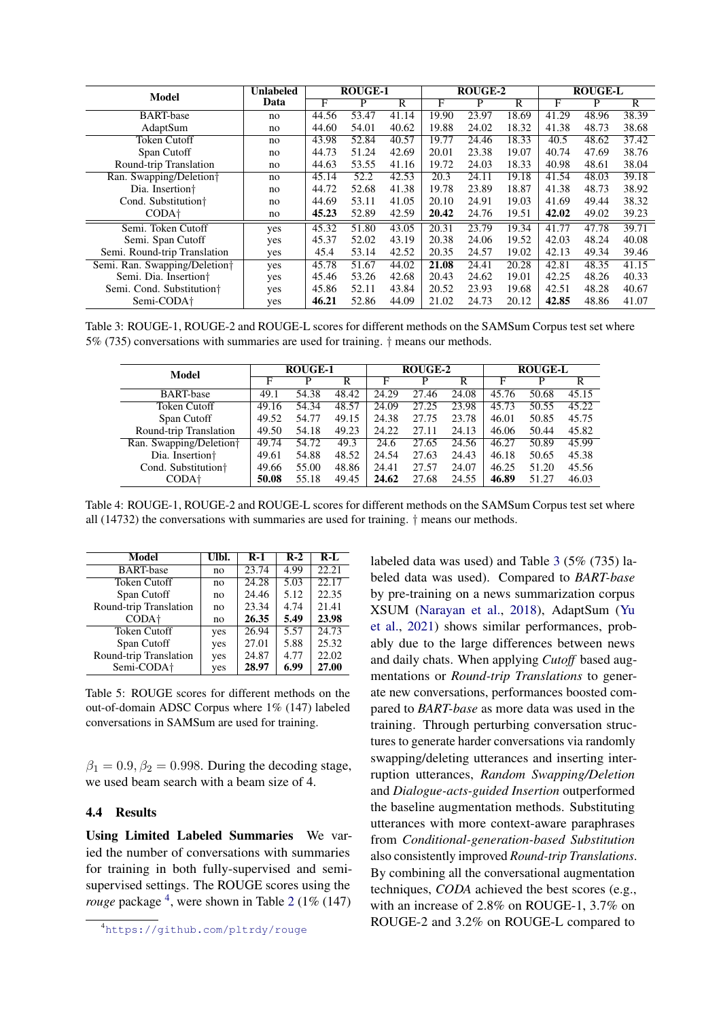<span id="page-6-1"></span>

| Model                                     | <b>Unlabeled</b> |       | <b>ROUGE-1</b> |                       | ROUGE-2 |       |       | <b>ROUGE-L</b>    |       |       |
|-------------------------------------------|------------------|-------|----------------|-----------------------|---------|-------|-------|-------------------|-------|-------|
|                                           | Data             | F     | P              | $\overline{\text{R}}$ | F       | P     | R     | F                 | P     | R     |
| <b>BART-base</b>                          | no               | 44.56 | 53.47          | 41.14                 | 19.90   | 23.97 | 18.69 | 41.29             | 48.96 | 38.39 |
| AdaptSum                                  | no               | 44.60 | 54.01          | 40.62                 | 19.88   | 24.02 | 18.32 | 41.38             | 48.73 | 38.68 |
| <b>Token Cutoff</b>                       | no               | 43.98 | 52.84          | 40.57                 | 19.77   | 24.46 | 18.33 | $\overline{40.5}$ | 48.62 | 37.42 |
| Span Cutoff                               | no               | 44.73 | 51.24          | 42.69                 | 20.01   | 23.38 | 19.07 | 40.74             | 47.69 | 38.76 |
| Round-trip Translation                    | no               | 44.63 | 53.55          | 41.16                 | 19.72   | 24.03 | 18.33 | 40.98             | 48.61 | 38.04 |
| Ran. Swapping/Deletion†                   | no               | 45.14 | 52.2           | 42.53                 | 20.3    | 24.11 | 19.18 | 41.54             | 48.03 | 39.18 |
| Dia. Insertion <sup>+</sup>               | no               | 44.72 | 52.68          | 41.38                 | 19.78   | 23.89 | 18.87 | 41.38             | 48.73 | 38.92 |
| Cond. Substitution <sup>+</sup>           | no               | 44.69 | 53.11          | 41.05                 | 20.10   | 24.91 | 19.03 | 41.69             | 49.44 | 38.32 |
| CODA <sup>+</sup>                         | no               | 45.23 | 52.89          | 42.59                 | 20.42   | 24.76 | 19.51 | 42.02             | 49.02 | 39.23 |
| Semi. Token Cutoff                        | yes              | 45.32 | 51.80          | 43.05                 | 20.31   | 23.79 | 19.34 | 41.77             | 47.78 | 39.71 |
| Semi. Span Cutoff                         | yes              | 45.37 | 52.02          | 43.19                 | 20.38   | 24.06 | 19.52 | 42.03             | 48.24 | 40.08 |
| Semi. Round-trip Translation              | yes              | 45.4  | 53.14          | 42.52                 | 20.35   | 24.57 | 19.02 | 42.13             | 49.34 | 39.46 |
| Semi. Ran. Swapping/Deletion <sup>†</sup> | yes              | 45.78 | 51.67          | 44.02                 | 21.08   | 24.41 | 20.28 | 42.81             | 48.35 | 41.15 |
| Semi. Dia. Insertion <sup>+</sup>         | yes              | 45.46 | 53.26          | 42.68                 | 20.43   | 24.62 | 19.01 | 42.25             | 48.26 | 40.33 |
| Semi. Cond. Substitution <sup>†</sup>     | yes              | 45.86 | 52.11          | 43.84                 | 20.52   | 23.93 | 19.68 | 42.51             | 48.28 | 40.67 |
| Semi-CODA <sup>+</sup>                    | yes              | 46.21 | 52.86          | 44.09                 | 21.02   | 24.73 | 20.12 | 42.85             | 48.86 | 41.07 |

Table 3: ROUGE-1, ROUGE-2 and ROUGE-L scores for different methods on the SAMSum Corpus test set where 5% (735) conversations with summaries are used for training. † means our methods.

<span id="page-6-2"></span>

| Model                               | <b>ROUGE-1</b> |       |                         | ROUGE-2 |       |                         | <b>ROUGE-L</b> |       |                |
|-------------------------------------|----------------|-------|-------------------------|---------|-------|-------------------------|----------------|-------|----------------|
|                                     | F              |       | $\overline{\mathsf{R}}$ | F       | P     | $\overline{\mathsf{R}}$ | F              | P     | $\overline{R}$ |
| <b>BART-base</b>                    | 49.1           | 54.38 | 48.42                   | 24.29   | 27.46 | 24.08                   | 45.76          | 50.68 | 45.15          |
| Token Cutoff                        | 49.16          | 54.34 | 48.57                   | 24.09   | 27.25 | 23.98                   | 45.73          | 50.55 | 45.22          |
| Span Cutoff                         | 49.52          | 54.77 | 49.15                   | 24.38   | 27.75 | 23.78                   | 46.01          | 50.85 | 45.75          |
| Round-trip Translation              | 49.50          | 54.18 | 49.23                   | 24.22   | 27.11 | 24.13                   | 46.06          | 50.44 | 45.82          |
| Ran. Swapping/Deletion <sup>+</sup> | 49.74          | 54.72 | 49.3                    | 24.6    | 27.65 | 24.56                   | 46.27          | 50.89 | 45.99          |
| Dia. Insertion <sup>+</sup>         | 49.61          | 54.88 | 48.52                   | 24.54   | 27.63 | 24.43                   | 46.18          | 50.65 | 45.38          |
| Cond. Substitution <sup>†</sup>     | 49.66          | 55.00 | 48.86                   | 24.41   | 27.57 | 24.07                   | 46.25          | 51.20 | 45.56          |
| CODA <sup>+</sup>                   | 50.08          | 55.18 | 49.45                   | 24.62   | 27.68 | 24.55                   | 46.89          | 51.27 | 46.03          |

Table 4: ROUGE-1, ROUGE-2 and ROUGE-L scores for different methods on the SAMSum Corpus test set where all (14732) the conversations with summaries are used for training. † means our methods.

<span id="page-6-3"></span>

| Model                  | Ulbl. | $R-1$ | $R-2$ | $R-I$ |
|------------------------|-------|-------|-------|-------|
| <b>BART-base</b>       | no    | 23.74 | 4.99  | 22.21 |
| <b>Token Cutoff</b>    | no    | 24.28 | 5.03  | 22.17 |
| Span Cutoff            | no    | 24.46 | 5.12  | 22.35 |
| Round-trip Translation | no    | 23.34 | 4.74  | 21.41 |
| CODA <sup>+</sup>      | no    | 26.35 | 5.49  | 23.98 |
| <b>Token Cutoff</b>    | yes   | 26.94 | 5.57  | 24.73 |
| Span Cutoff            | yes   | 27.01 | 5.88  | 25.32 |
| Round-trip Translation | yes   | 24.87 | 4.77  | 22.02 |
| Semi-CODA <sup>+</sup> | yes   | 28.97 | 6.99  | 27.00 |

Table 5: ROUGE scores for different methods on the out-of-domain ADSC Corpus where 1% (147) labeled conversations in SAMSum are used for training.

 $\beta_1 = 0.9, \beta_2 = 0.998$ . During the decoding stage, we used beam search with a beam size of 4.

# 4.4 Results

Using Limited Labeled Summaries We varied the number of conversations with summaries for training in both fully-supervised and semisupervised settings. The ROUGE scores using the *rouge* package <sup>[4](#page-6-0)</sup>, were shown in Table [2](#page-5-3) (1% (147)

labeled data was used) and Table [3](#page-6-1) (5% (735) labeled data was used). Compared to *BART-base* by pre-training on a news summarization corpus XSUM [\(Narayan et al.,](#page-10-21) [2018\)](#page-10-21), AdaptSum [\(Yu](#page-10-2) [et al.,](#page-10-2) [2021\)](#page-10-2) shows similar performances, probably due to the large differences between news and daily chats. When applying *Cutoff* based augmentations or *Round-trip Translations* to generate new conversations, performances boosted compared to *BART-base* as more data was used in the training. Through perturbing conversation structures to generate harder conversations via randomly swapping/deleting utterances and inserting interruption utterances, *Random Swapping/Deletion* and *Dialogue-acts-guided Insertion* outperformed the baseline augmentation methods. Substituting utterances with more context-aware paraphrases from *Conditional-generation-based Substitution* also consistently improved *Round-trip Translations*. By combining all the conversational augmentation techniques, *CODA* achieved the best scores (e.g., with an increase of 2.8% on ROUGE-1, 3.7% on ROUGE-2 and 3.2% on ROUGE-L compared to

<span id="page-6-0"></span><sup>4</sup><https://github.com/pltrdy/rouge>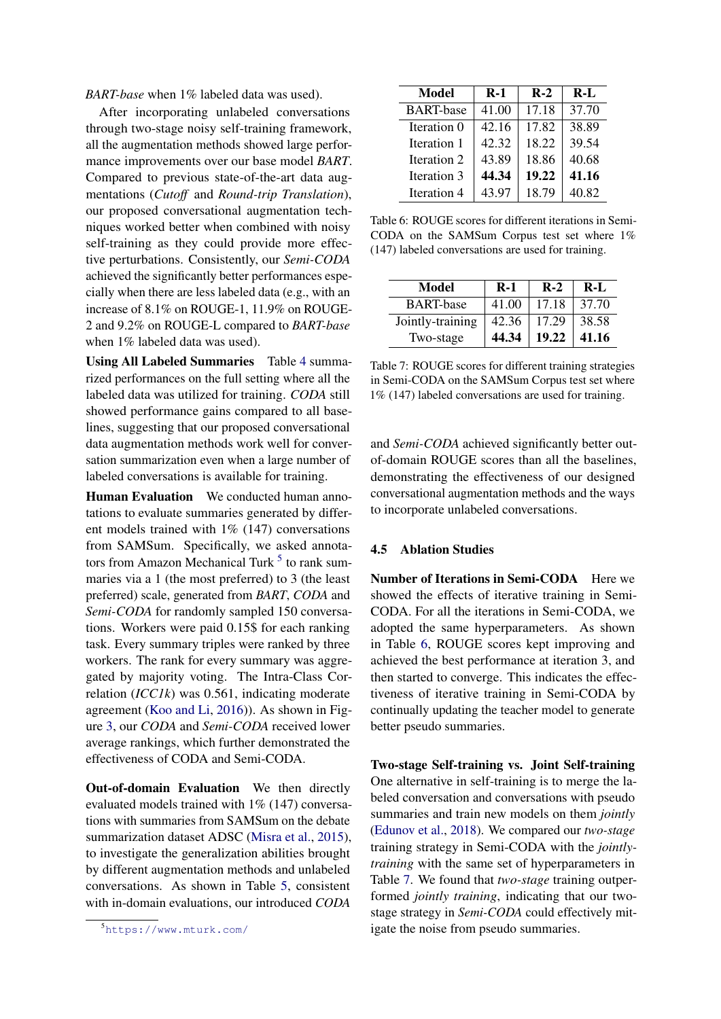*BART-base* when 1% labeled data was used).

After incorporating unlabeled conversations through two-stage noisy self-training framework, all the augmentation methods showed large performance improvements over our base model *BART*. Compared to previous state-of-the-art data augmentations (*Cutoff* and *Round-trip Translation*), our proposed conversational augmentation techniques worked better when combined with noisy self-training as they could provide more effective perturbations. Consistently, our *Semi-CODA* achieved the significantly better performances especially when there are less labeled data (e.g., with an increase of 8.1% on ROUGE-1, 11.9% on ROUGE-2 and 9.2% on ROUGE-L compared to *BART-base* when 1% labeled data was used).

Using All Labeled Summaries Table [4](#page-6-2) summarized performances on the full setting where all the labeled data was utilized for training. *CODA* still showed performance gains compared to all baselines, suggesting that our proposed conversational data augmentation methods work well for conversation summarization even when a large number of labeled conversations is available for training.

Human Evaluation We conducted human annotations to evaluate summaries generated by different models trained with  $1\%$  (147) conversations from SAMSum. Specifically, we asked annota-tors from Amazon Mechanical Turk <sup>[5](#page-7-0)</sup> to rank summaries via a 1 (the most preferred) to 3 (the least preferred) scale, generated from *BART*, *CODA* and *Semi-CODA* for randomly sampled 150 conversations. Workers were paid 0.15\$ for each ranking task. Every summary triples were ranked by three workers. The rank for every summary was aggregated by majority voting. The Intra-Class Correlation (*ICC1k*) was 0.561, indicating moderate agreement [\(Koo and Li,](#page-9-17) [2016\)](#page-9-17)). As shown in Figure [3,](#page-5-4) our *CODA* and *Semi-CODA* received lower average rankings, which further demonstrated the effectiveness of CODA and Semi-CODA.

Out-of-domain Evaluation We then directly evaluated models trained with 1% (147) conversations with summaries from SAMSum on the debate summarization dataset ADSC [\(Misra et al.,](#page-9-5) [2015\)](#page-9-5), to investigate the generalization abilities brought by different augmentation methods and unlabeled conversations. As shown in Table [5,](#page-6-3) consistent with in-domain evaluations, our introduced *CODA*

<span id="page-7-1"></span>

| <b>Model</b>     | $R-1$ | $R-2$ | $R-I$ |
|------------------|-------|-------|-------|
| <b>BART-base</b> | 41.00 | 17.18 | 37.70 |
| Iteration 0      | 42.16 | 17.82 | 38.89 |
| Iteration 1      | 42.32 | 18.22 | 39.54 |
| Iteration 2      | 43.89 | 18.86 | 40.68 |
| Iteration 3      | 44.34 | 19.22 | 41.16 |
| Iteration 4      | 43.97 | 18.79 | 40.82 |

Table 6: ROUGE scores for different iterations in Semi-CODA on the SAMSum Corpus test set where 1% (147) labeled conversations are used for training.

<span id="page-7-2"></span>

| Model            | $R-1$ | $R-2$ | $R-I$ |
|------------------|-------|-------|-------|
| <b>BART-base</b> | 41.00 | 17.18 | 37.70 |
| Jointly-training | 42.36 | 17.29 | 38.58 |
| Two-stage        | 44.34 | 19.22 | 41.16 |

Table 7: ROUGE scores for different training strategies in Semi-CODA on the SAMSum Corpus test set where 1% (147) labeled conversations are used for training.

and *Semi-CODA* achieved significantly better outof-domain ROUGE scores than all the baselines, demonstrating the effectiveness of our designed conversational augmentation methods and the ways to incorporate unlabeled conversations.

## 4.5 Ablation Studies

Number of Iterations in Semi-CODA Here we showed the effects of iterative training in Semi-CODA. For all the iterations in Semi-CODA, we adopted the same hyperparameters. As shown in Table [6,](#page-7-1) ROUGE scores kept improving and achieved the best performance at iteration 3, and then started to converge. This indicates the effectiveness of iterative training in Semi-CODA by continually updating the teacher model to generate better pseudo summaries.

Two-stage Self-training vs. Joint Self-training One alternative in self-training is to merge the labeled conversation and conversations with pseudo summaries and train new models on them *jointly* [\(Edunov et al.,](#page-8-16) [2018\)](#page-8-16). We compared our *two-stage* training strategy in Semi-CODA with the *jointlytraining* with the same set of hyperparameters in Table [7.](#page-7-2) We found that *two-stage* training outperformed *jointly training*, indicating that our twostage strategy in *Semi-CODA* could effectively mitigate the noise from pseudo summaries.

<span id="page-7-0"></span><sup>5</sup><https://www.mturk.com/>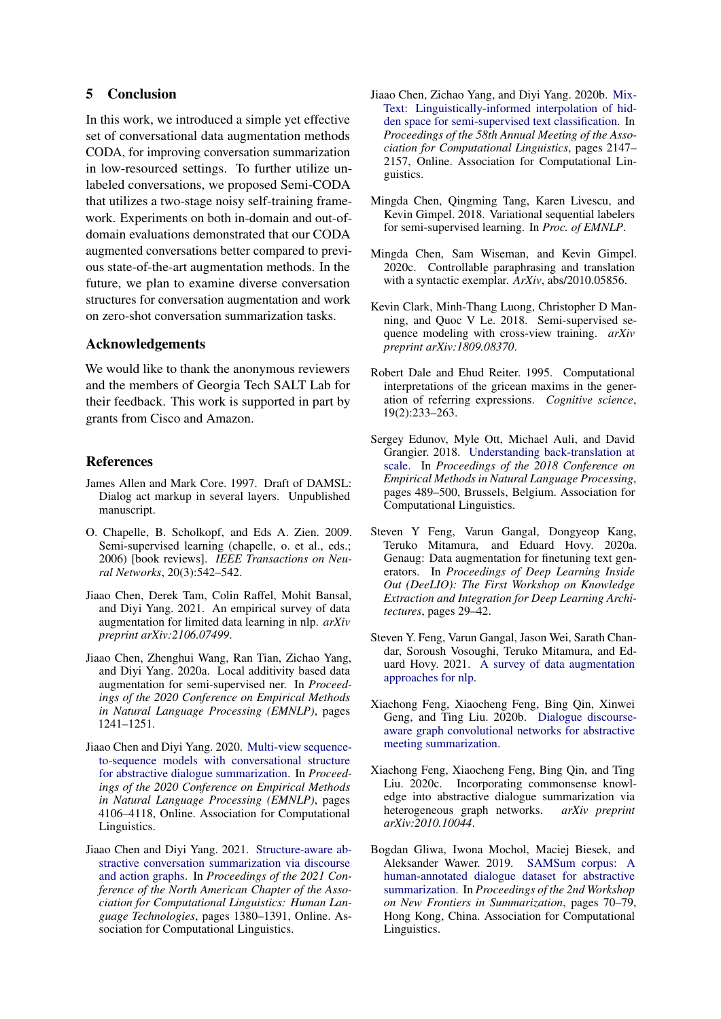# 5 Conclusion

In this work, we introduced a simple yet effective set of conversational data augmentation methods CODA, for improving conversation summarization in low-resourced settings. To further utilize unlabeled conversations, we proposed Semi-CODA that utilizes a two-stage noisy self-training framework. Experiments on both in-domain and out-ofdomain evaluations demonstrated that our CODA augmented conversations better compared to previous state-of-the-art augmentation methods. In the future, we plan to examine diverse conversation structures for conversation augmentation and work on zero-shot conversation summarization tasks.

# Acknowledgements

We would like to thank the anonymous reviewers and the members of Georgia Tech SALT Lab for their feedback. This work is supported in part by grants from Cisco and Amazon.

# References

- <span id="page-8-7"></span>James Allen and Mark Core. 1997. Draft of DAMSL: Dialog act markup in several layers. Unpublished manuscript.
- <span id="page-8-10"></span>O. Chapelle, B. Scholkopf, and Eds A. Zien. 2009. Semi-supervised learning (chapelle, o. et al., eds.; 2006) [book reviews]. *IEEE Transactions on Neural Networks*, 20(3):542–542.
- <span id="page-8-11"></span>Jiaao Chen, Derek Tam, Colin Raffel, Mohit Bansal, and Diyi Yang. 2021. An empirical survey of data augmentation for limited data learning in nlp. *arXiv preprint arXiv:2106.07499*.
- <span id="page-8-12"></span>Jiaao Chen, Zhenghui Wang, Ran Tian, Zichao Yang, and Diyi Yang. 2020a. Local additivity based data augmentation for semi-supervised ner. In *Proceedings of the 2020 Conference on Empirical Methods in Natural Language Processing (EMNLP)*, pages 1241–1251.
- <span id="page-8-1"></span>Jiaao Chen and Diyi Yang. 2020. [Multi-view sequence](https://www.aclweb.org/anthology/2020.emnlp-main.336)[to-sequence models with conversational structure](https://www.aclweb.org/anthology/2020.emnlp-main.336) [for abstractive dialogue summarization.](https://www.aclweb.org/anthology/2020.emnlp-main.336) In *Proceedings of the 2020 Conference on Empirical Methods in Natural Language Processing (EMNLP)*, pages 4106–4118, Online. Association for Computational Linguistics.
- <span id="page-8-3"></span>Jiaao Chen and Diyi Yang. 2021. [Structure-aware ab](https://doi.org/10.18653/v1/2021.naacl-main.109)[stractive conversation summarization via discourse](https://doi.org/10.18653/v1/2021.naacl-main.109) [and action graphs.](https://doi.org/10.18653/v1/2021.naacl-main.109) In *Proceedings of the 2021 Conference of the North American Chapter of the Association for Computational Linguistics: Human Language Technologies*, pages 1380–1391, Online. Association for Computational Linguistics.
- <span id="page-8-5"></span>Jiaao Chen, Zichao Yang, and Diyi Yang. 2020b. [Mix-](https://doi.org/10.18653/v1/2020.acl-main.194)[Text: Linguistically-informed interpolation of hid](https://doi.org/10.18653/v1/2020.acl-main.194)[den space for semi-supervised text classification.](https://doi.org/10.18653/v1/2020.acl-main.194) In *Proceedings of the 58th Annual Meeting of the Association for Computational Linguistics*, pages 2147– 2157, Online. Association for Computational Linguistics.
- <span id="page-8-14"></span>Mingda Chen, Qingming Tang, Karen Livescu, and Kevin Gimpel. 2018. Variational sequential labelers for semi-supervised learning. In *Proc. of EMNLP*.
- <span id="page-8-6"></span>Mingda Chen, Sam Wiseman, and Kevin Gimpel. 2020c. Controllable paraphrasing and translation with a syntactic exemplar. *ArXiv*, abs/2010.05856.
- <span id="page-8-13"></span>Kevin Clark, Minh-Thang Luong, Christopher D Manning, and Quoc V Le. 2018. Semi-supervised sequence modeling with cross-view training. *arXiv preprint arXiv:1809.08370*.
- <span id="page-8-15"></span>Robert Dale and Ehud Reiter. 1995. Computational interpretations of the gricean maxims in the generation of referring expressions. *Cognitive science*, 19(2):233–263.
- <span id="page-8-16"></span>Sergey Edunov, Myle Ott, Michael Auli, and David Grangier. 2018. [Understanding back-translation at](https://doi.org/10.18653/v1/D18-1045) [scale.](https://doi.org/10.18653/v1/D18-1045) In *Proceedings of the 2018 Conference on Empirical Methods in Natural Language Processing*, pages 489–500, Brussels, Belgium. Association for Computational Linguistics.
- <span id="page-8-4"></span>Steven Y Feng, Varun Gangal, Dongyeop Kang, Teruko Mitamura, and Eduard Hovy. 2020a. Genaug: Data augmentation for finetuning text generators. In *Proceedings of Deep Learning Inside Out (DeeLIO): The First Workshop on Knowledge Extraction and Integration for Deep Learning Architectures*, pages 29–42.
- <span id="page-8-9"></span>Steven Y. Feng, Varun Gangal, Jason Wei, Sarath Chandar, Soroush Vosoughi, Teruko Mitamura, and Eduard Hovy. 2021. [A survey of data augmentation](http://arxiv.org/abs/2105.03075) [approaches for nlp.](http://arxiv.org/abs/2105.03075)
- <span id="page-8-8"></span>Xiachong Feng, Xiaocheng Feng, Bing Qin, Xinwei Geng, and Ting Liu. 2020b. [Dialogue discourse](http://arxiv.org/abs/2012.03502)[aware graph convolutional networks for abstractive](http://arxiv.org/abs/2012.03502) [meeting summarization.](http://arxiv.org/abs/2012.03502)
- <span id="page-8-2"></span>Xiachong Feng, Xiaocheng Feng, Bing Qin, and Ting Liu. 2020c. Incorporating commonsense knowledge into abstractive dialogue summarization via heterogeneous graph networks. *arXiv preprint arXiv:2010.10044*.
- <span id="page-8-0"></span>Bogdan Gliwa, Iwona Mochol, Maciej Biesek, and Aleksander Wawer. 2019. [SAMSum corpus: A](https://doi.org/10.18653/v1/D19-5409) [human-annotated dialogue dataset for abstractive](https://doi.org/10.18653/v1/D19-5409) [summarization.](https://doi.org/10.18653/v1/D19-5409) In *Proceedings of the 2nd Workshop on New Frontiers in Summarization*, pages 70–79, Hong Kong, China. Association for Computational Linguistics.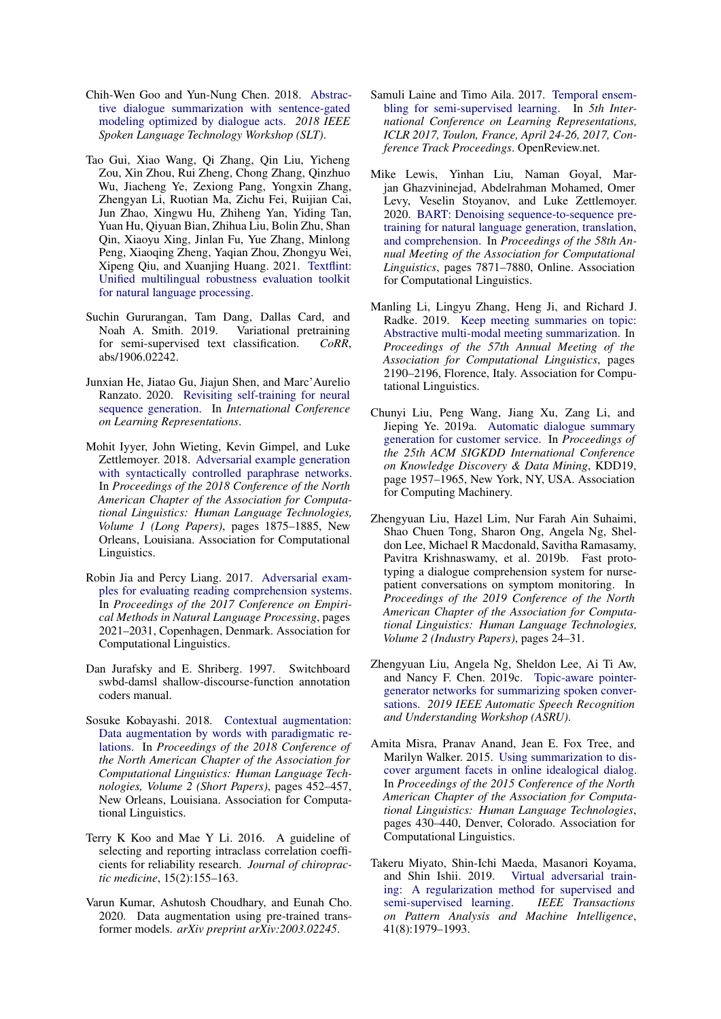- <span id="page-9-6"></span>Chih-Wen Goo and Yun-Nung Chen. 2018. [Abstrac](https://doi.org/10.1109/slt.2018.8639531)[tive dialogue summarization with sentence-gated](https://doi.org/10.1109/slt.2018.8639531) [modeling optimized by dialogue acts.](https://doi.org/10.1109/slt.2018.8639531) *2018 IEEE Spoken Language Technology Workshop (SLT)*.
- <span id="page-9-14"></span>Tao Gui, Xiao Wang, Qi Zhang, Qin Liu, Yicheng Zou, Xin Zhou, Rui Zheng, Chong Zhang, Qinzhuo Wu, Jiacheng Ye, Zexiong Pang, Yongxin Zhang, Zhengyan Li, Ruotian Ma, Zichu Fei, Ruijian Cai, Jun Zhao, Xingwu Hu, Zhiheng Yan, Yiding Tan, Yuan Hu, Qiyuan Bian, Zhihua Liu, Bolin Zhu, Shan Qin, Xiaoyu Xing, Jinlan Fu, Yue Zhang, Minlong Peng, Xiaoqing Zheng, Yaqian Zhou, Zhongyu Wei, Xipeng Qiu, and Xuanjing Huang. 2021. [Textflint:](http://arxiv.org/abs/2103.11441) [Unified multilingual robustness evaluation toolkit](http://arxiv.org/abs/2103.11441) [for natural language processing.](http://arxiv.org/abs/2103.11441)
- <span id="page-9-11"></span>Suchin Gururangan, Tam Dang, Dallas Card, and Noah A. Smith. 2019. Variational pretraining for semi-supervised text classification. *CoRR*, abs/1906.02242.
- <span id="page-9-4"></span>Junxian He, Jiatao Gu, Jiajun Shen, and Marc'Aurelio Ranzato. 2020. [Revisiting self-training for neural](https://openreview.net/forum?id=SJgdnAVKDH) [sequence generation.](https://openreview.net/forum?id=SJgdnAVKDH) In *International Conference on Learning Representations*.
- <span id="page-9-2"></span>Mohit Iyyer, John Wieting, Kevin Gimpel, and Luke Zettlemoyer. 2018. [Adversarial example generation](https://doi.org/10.18653/v1/N18-1170) [with syntactically controlled paraphrase networks.](https://doi.org/10.18653/v1/N18-1170) In *Proceedings of the 2018 Conference of the North American Chapter of the Association for Computational Linguistics: Human Language Technologies, Volume 1 (Long Papers)*, pages 1875–1885, New Orleans, Louisiana. Association for Computational Linguistics.
- <span id="page-9-3"></span>Robin Jia and Percy Liang. 2017. [Adversarial exam](https://doi.org/10.18653/v1/D17-1215)[ples for evaluating reading comprehension systems.](https://doi.org/10.18653/v1/D17-1215) In *Proceedings of the 2017 Conference on Empirical Methods in Natural Language Processing*, pages 2021–2031, Copenhagen, Denmark. Association for Computational Linguistics.
- <span id="page-9-15"></span>Dan Jurafsky and E. Shriberg. 1997. Switchboard swbd-damsl shallow-discourse-function annotation coders manual.
- <span id="page-9-1"></span>Sosuke Kobayashi. 2018. [Contextual augmentation:](https://doi.org/10.18653/v1/N18-2072) [Data augmentation by words with paradigmatic re](https://doi.org/10.18653/v1/N18-2072)[lations.](https://doi.org/10.18653/v1/N18-2072) In *Proceedings of the 2018 Conference of the North American Chapter of the Association for Computational Linguistics: Human Language Technologies, Volume 2 (Short Papers)*, pages 452–457, New Orleans, Louisiana. Association for Computational Linguistics.
- <span id="page-9-17"></span>Terry K Koo and Mae Y Li. 2016. A guideline of selecting and reporting intraclass correlation coefficients for reliability research. *Journal of chiropractic medicine*, 15(2):155–163.
- <span id="page-9-10"></span>Varun Kumar, Ashutosh Choudhary, and Eunah Cho. 2020. Data augmentation using pre-trained transformer models. *arXiv preprint arXiv:2003.02245*.
- <span id="page-9-12"></span>Samuli Laine and Timo Aila. 2017. [Temporal ensem](https://openreview.net/forum?id=BJ6oOfqge)[bling for semi-supervised learning.](https://openreview.net/forum?id=BJ6oOfqge) In *5th International Conference on Learning Representations, ICLR 2017, Toulon, France, April 24-26, 2017, Conference Track Proceedings*. OpenReview.net.
- <span id="page-9-16"></span>Mike Lewis, Yinhan Liu, Naman Goyal, Marjan Ghazvininejad, Abdelrahman Mohamed, Omer Levy, Veselin Stoyanov, and Luke Zettlemoyer. 2020. [BART: Denoising sequence-to-sequence pre](https://doi.org/10.18653/v1/2020.acl-main.703)[training for natural language generation, translation,](https://doi.org/10.18653/v1/2020.acl-main.703) [and comprehension.](https://doi.org/10.18653/v1/2020.acl-main.703) In *Proceedings of the 58th Annual Meeting of the Association for Computational Linguistics*, pages 7871–7880, Online. Association for Computational Linguistics.
- <span id="page-9-9"></span>Manling Li, Lingyu Zhang, Heng Ji, and Richard J. Radke. 2019. [Keep meeting summaries on topic:](https://doi.org/10.18653/v1/P19-1210) [Abstractive multi-modal meeting summarization.](https://doi.org/10.18653/v1/P19-1210) In *Proceedings of the 57th Annual Meeting of the Association for Computational Linguistics*, pages 2190–2196, Florence, Italy. Association for Computational Linguistics.
- <span id="page-9-7"></span>Chunyi Liu, Peng Wang, Jiang Xu, Zang Li, and Jieping Ye. 2019a. [Automatic dialogue summary](https://doi.org/10.1145/3292500.3330683) [generation for customer service.](https://doi.org/10.1145/3292500.3330683) In *Proceedings of the 25th ACM SIGKDD International Conference on Knowledge Discovery & Data Mining*, KDD19, page 1957–1965, New York, NY, USA. Association for Computing Machinery.
- <span id="page-9-0"></span>Zhengyuan Liu, Hazel Lim, Nur Farah Ain Suhaimi, Shao Chuen Tong, Sharon Ong, Angela Ng, Sheldon Lee, Michael R Macdonald, Savitha Ramasamy, Pavitra Krishnaswamy, et al. 2019b. Fast prototyping a dialogue comprehension system for nursepatient conversations on symptom monitoring. In *Proceedings of the 2019 Conference of the North American Chapter of the Association for Computational Linguistics: Human Language Technologies, Volume 2 (Industry Papers)*, pages 24–31.
- <span id="page-9-8"></span>Zhengyuan Liu, Angela Ng, Sheldon Lee, Ai Ti Aw, and Nancy F. Chen. 2019c. [Topic-aware pointer](https://doi.org/10.1109/asru46091.2019.9003764)[generator networks for summarizing spoken conver](https://doi.org/10.1109/asru46091.2019.9003764)[sations.](https://doi.org/10.1109/asru46091.2019.9003764) *2019 IEEE Automatic Speech Recognition and Understanding Workshop (ASRU)*.
- <span id="page-9-5"></span>Amita Misra, Pranav Anand, Jean E. Fox Tree, and Marilyn Walker. 2015. [Using summarization to dis](https://doi.org/10.3115/v1/N15-1046)[cover argument facets in online idealogical dialog.](https://doi.org/10.3115/v1/N15-1046) In *Proceedings of the 2015 Conference of the North American Chapter of the Association for Computational Linguistics: Human Language Technologies*, pages 430–440, Denver, Colorado. Association for Computational Linguistics.
- <span id="page-9-13"></span>Takeru Miyato, Shin-Ichi Maeda, Masanori Koyama, and Shin Ishii. 2019. [Virtual adversarial train](https://doi.org/10.1109/tpami.2018.2858821)[ing: A regularization method for supervised and](https://doi.org/10.1109/tpami.2018.2858821) [semi-supervised learning.](https://doi.org/10.1109/tpami.2018.2858821) *IEEE Transactions on Pattern Analysis and Machine Intelligence*, 41(8):1979–1993.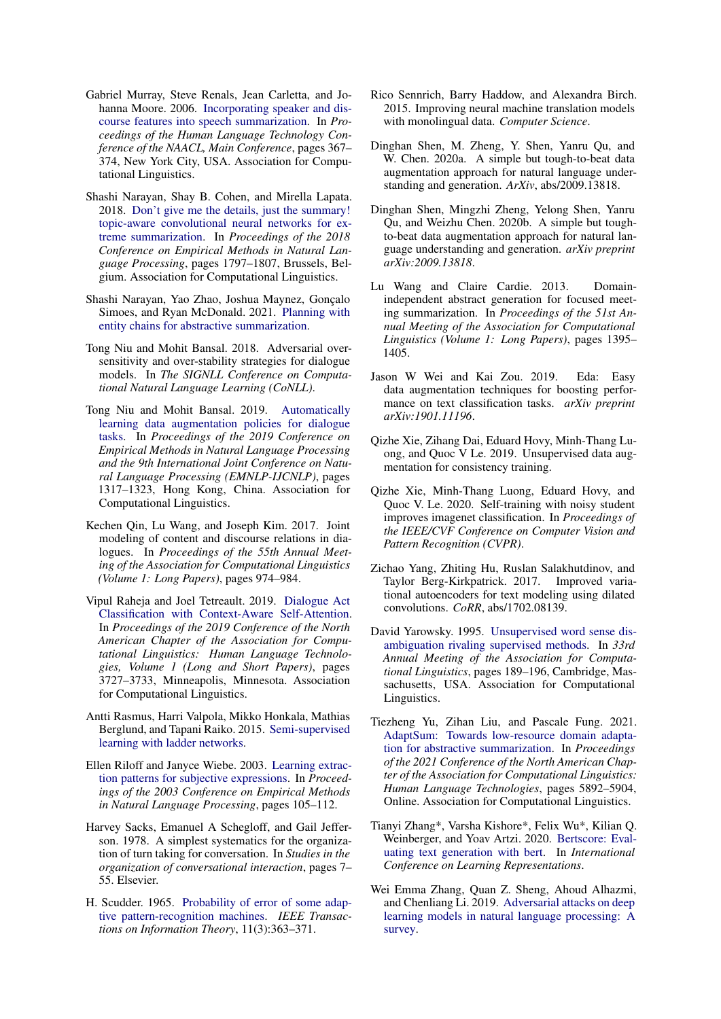- <span id="page-10-0"></span>Gabriel Murray, Steve Renals, Jean Carletta, and Johanna Moore. 2006. [Incorporating speaker and dis](https://www.aclweb.org/anthology/N06-1047)[course features into speech summarization.](https://www.aclweb.org/anthology/N06-1047) In *Proceedings of the Human Language Technology Conference of the NAACL, Main Conference*, pages 367– 374, New York City, USA. Association for Computational Linguistics.
- <span id="page-10-21"></span>Shashi Narayan, Shay B. Cohen, and Mirella Lapata. 2018. [Don't give me the details, just the summary!](https://doi.org/10.18653/v1/D18-1206) [topic-aware convolutional neural networks for ex](https://doi.org/10.18653/v1/D18-1206)[treme summarization.](https://doi.org/10.18653/v1/D18-1206) In *Proceedings of the 2018 Conference on Empirical Methods in Natural Language Processing*, pages 1797–1807, Brussels, Belgium. Association for Computational Linguistics.
- <span id="page-10-12"></span>Shashi Narayan, Yao Zhao, Joshua Maynez, Gonçalo Simoes, and Ryan McDonald. 2021. [Planning with](http://arxiv.org/abs/2104.07606) [entity chains for abstractive summarization.](http://arxiv.org/abs/2104.07606)
- <span id="page-10-3"></span>Tong Niu and Mohit Bansal. 2018. Adversarial oversensitivity and over-stability strategies for dialogue models. In *The SIGNLL Conference on Computational Natural Language Learning (CoNLL)*.
- <span id="page-10-8"></span>Tong Niu and Mohit Bansal. 2019. [Automatically](https://doi.org/10.18653/v1/D19-1132) [learning data augmentation policies for dialogue](https://doi.org/10.18653/v1/D19-1132) [tasks.](https://doi.org/10.18653/v1/D19-1132) In *Proceedings of the 2019 Conference on Empirical Methods in Natural Language Processing and the 9th International Joint Conference on Natural Language Processing (EMNLP-IJCNLP)*, pages 1317–1323, Hong Kong, China. Association for Computational Linguistics.
- <span id="page-10-18"></span>Kechen Qin, Lu Wang, and Joseph Kim. 2017. Joint modeling of content and discourse relations in dialogues. In *Proceedings of the 55th Annual Meeting of the Association for Computational Linguistics (Volume 1: Long Papers)*, pages 974–984.
- <span id="page-10-19"></span>Vipul Raheja and Joel Tetreault. 2019. [Dialogue Act](https://doi.org/10.18653/v1/N19-1373) [Classification with Context-Aware Self-Attention.](https://doi.org/10.18653/v1/N19-1373) In *Proceedings of the 2019 Conference of the North American Chapter of the Association for Computational Linguistics: Human Language Technologies, Volume 1 (Long and Short Papers)*, pages 3727–3733, Minneapolis, Minnesota. Association for Computational Linguistics.
- <span id="page-10-17"></span>Antti Rasmus, Harri Valpola, Mikko Honkala, Mathias Berglund, and Tapani Raiko. 2015. [Semi-supervised](http://arxiv.org/abs/1507.02672) [learning with ladder networks.](http://arxiv.org/abs/1507.02672)
- <span id="page-10-15"></span>Ellen Riloff and Janyce Wiebe. 2003. [Learning extrac](https://www.aclweb.org/anthology/W03-1014)[tion patterns for subjective expressions.](https://www.aclweb.org/anthology/W03-1014) In *Proceedings of the 2003 Conference on Empirical Methods in Natural Language Processing*, pages 105–112.
- <span id="page-10-10"></span>Harvey Sacks, Emanuel A Schegloff, and Gail Jefferson. 1978. A simplest systematics for the organization of turn taking for conversation. In *Studies in the organization of conversational interaction*, pages 7– 55. Elsevier.
- <span id="page-10-14"></span>H. Scudder. 1965. [Probability of error of some adap](https://doi.org/10.1109/TIT.1965.1053799)[tive pattern-recognition machines.](https://doi.org/10.1109/TIT.1965.1053799) *IEEE Transactions on Information Theory*, 11(3):363–371.
- <span id="page-10-6"></span>Rico Sennrich, Barry Haddow, and Alexandra Birch. 2015. Improving neural machine translation models with monolingual data. *Computer Science*.
- <span id="page-10-22"></span>Dinghan Shen, M. Zheng, Y. Shen, Yanru Qu, and W. Chen. 2020a. A simple but tough-to-beat data augmentation approach for natural language understanding and generation. *ArXiv*, abs/2009.13818.
- <span id="page-10-5"></span>Dinghan Shen, Mingzhi Zheng, Yelong Shen, Yanru Qu, and Weizhu Chen. 2020b. A simple but toughto-beat data augmentation approach for natural language understanding and generation. *arXiv preprint arXiv:2009.13818*.
- <span id="page-10-1"></span>Lu Wang and Claire Cardie. 2013. Domainindependent abstract generation for focused meeting summarization. In *Proceedings of the 51st Annual Meeting of the Association for Computational Linguistics (Volume 1: Long Papers)*, pages 1395– 1405.
- <span id="page-10-4"></span>Jason W Wei and Kai Zou. 2019. Eda: Easy data augmentation techniques for boosting performance on text classification tasks. *arXiv preprint arXiv:1901.11196*.
- <span id="page-10-7"></span>Qizhe Xie, Zihang Dai, Eduard Hovy, Minh-Thang Luong, and Quoc V Le. 2019. Unsupervised data augmentation for consistency training.
- <span id="page-10-11"></span>Qizhe Xie, Minh-Thang Luong, Eduard Hovy, and Quoc V. Le. 2020. Self-training with noisy student improves imagenet classification. In *Proceedings of the IEEE/CVF Conference on Computer Vision and Pattern Recognition (CVPR)*.
- <span id="page-10-13"></span>Zichao Yang, Zhiting Hu, Ruslan Salakhutdinov, and Taylor Berg-Kirkpatrick. 2017. Improved variational autoencoders for text modeling using dilated convolutions. *CoRR*, abs/1702.08139.
- <span id="page-10-16"></span>David Yarowsky. 1995. [Unsupervised word sense dis](https://doi.org/10.3115/981658.981684)[ambiguation rivaling supervised methods.](https://doi.org/10.3115/981658.981684) In *33rd Annual Meeting of the Association for Computational Linguistics*, pages 189–196, Cambridge, Massachusetts, USA. Association for Computational Linguistics.
- <span id="page-10-2"></span>Tiezheng Yu, Zihan Liu, and Pascale Fung. 2021. [AdaptSum: Towards low-resource domain adapta](https://doi.org/10.18653/v1/2021.naacl-main.471)[tion for abstractive summarization.](https://doi.org/10.18653/v1/2021.naacl-main.471) In *Proceedings of the 2021 Conference of the North American Chapter of the Association for Computational Linguistics: Human Language Technologies*, pages 5892–5904, Online. Association for Computational Linguistics.
- <span id="page-10-20"></span>Tianyi Zhang\*, Varsha Kishore\*, Felix Wu\*, Kilian Q. Weinberger, and Yoav Artzi. 2020. [Bertscore: Eval](https://openreview.net/forum?id=SkeHuCVFDr)[uating text generation with bert.](https://openreview.net/forum?id=SkeHuCVFDr) In *International Conference on Learning Representations*.
- <span id="page-10-9"></span>Wei Emma Zhang, Quan Z. Sheng, Ahoud Alhazmi, and Chenliang Li. 2019. [Adversarial attacks on deep](http://arxiv.org/abs/1901.06796) [learning models in natural language processing: A](http://arxiv.org/abs/1901.06796) [survey.](http://arxiv.org/abs/1901.06796)